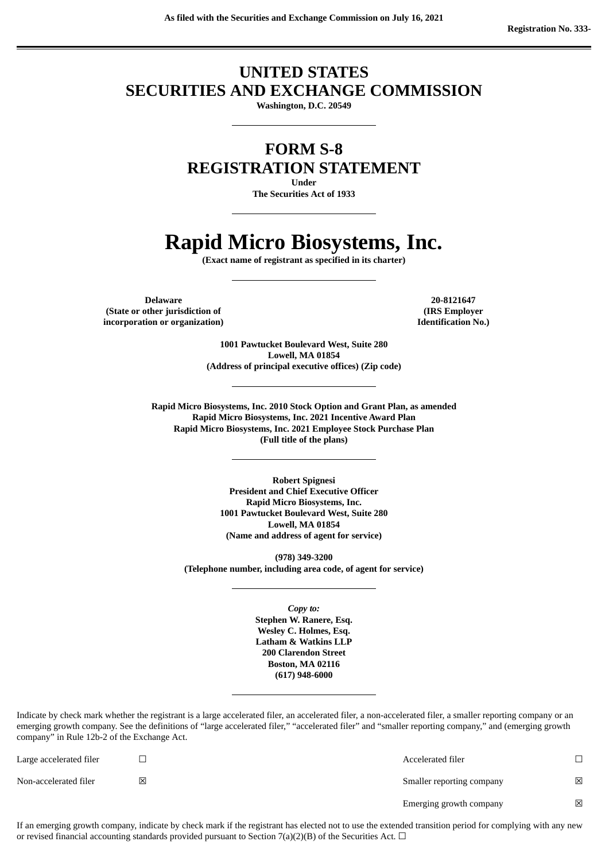# **UNITED STATES SECURITIES AND EXCHANGE COMMISSION**

**Washington, D.C. 20549**

**FORM S-8**

**REGISTRATION STATEMENT**

**Under**

**The Securities Act of 1933**

# **Rapid Micro Biosystems, Inc.**

**(Exact name of registrant as specified in its charter)**

**Delaware 20-8121647 (State or other jurisdiction of incorporation or organization)**

**(IRS Employer Identification No.)**

**1001 Pawtucket Boulevard West, Suite 280 Lowell, MA 01854 (Address of principal executive offices) (Zip code)**

**Rapid Micro Biosystems, Inc. 2010 Stock Option and Grant Plan, as amended Rapid Micro Biosystems, Inc. 2021 Incentive Award Plan Rapid Micro Biosystems, Inc. 2021 Employee Stock Purchase Plan (Full title of the plans)**

> **Robert Spignesi President and Chief Executive Officer Rapid Micro Biosystems, Inc. 1001 Pawtucket Boulevard West, Suite 280 Lowell, MA 01854 (Name and address of agent for service)**

**(978) 349-3200 (Telephone number, including area code, of agent for service)**

> *Copy to:* **Stephen W. Ranere, Esq. Wesley C. Holmes, Esq. Latham & Watkins LLP 200 Clarendon Street Boston, MA 02116 (617) 948-6000**

Indicate by check mark whether the registrant is a large accelerated filer, an accelerated filer, a non-accelerated filer, a smaller reporting company or an emerging growth company. See the definitions of "large accelerated filer," "accelerated filer" and "smaller reporting company," and (emerging growth company" in Rule 12b-2 of the Exchange Act.

| Large accelerated filer |   | Accelerated filer         |   |
|-------------------------|---|---------------------------|---|
| Non-accelerated filer   | 図 | Smaller reporting company | ⊠ |
|                         |   | Emerging growth company   | ⊠ |

If an emerging growth company, indicate by check mark if the registrant has elected not to use the extended transition period for complying with any new or revised financial accounting standards provided pursuant to Section 7(a)(2)(B) of the Securities Act.  $\Box$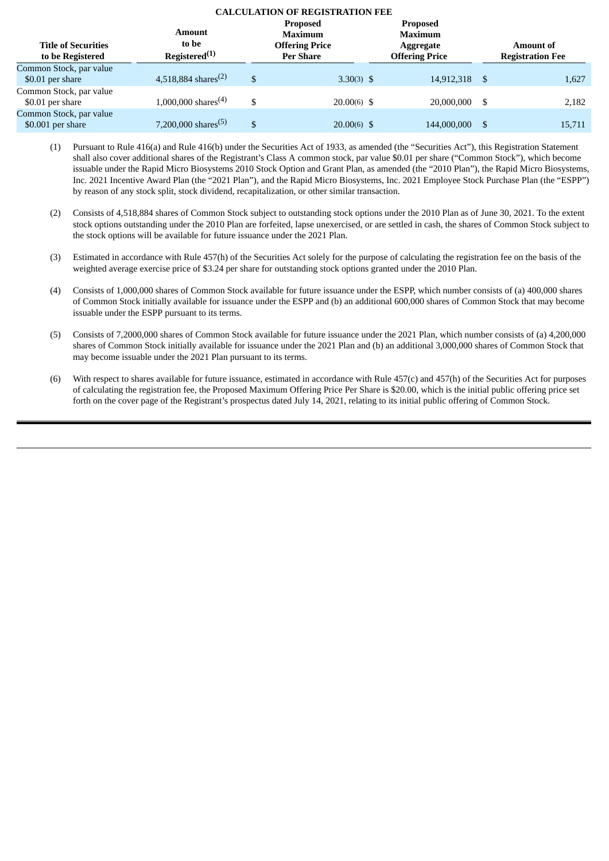# **CALCULATION OF REGISTRATION FEE**

| <b>Title of Securities</b><br>to be Registered | Amount<br>to be<br>Registered <sup>(1)</sup> | <b>Proposed</b><br><b>Maximum</b><br><b>Offering Price</b><br><b>Per Share</b> | <b>Proposed</b><br><b>Maximum</b><br>Aggregate<br><b>Offering Price</b> | <b>Amount of</b><br><b>Registration Fee</b> |
|------------------------------------------------|----------------------------------------------|--------------------------------------------------------------------------------|-------------------------------------------------------------------------|---------------------------------------------|
| Common Stock, par value<br>\$0.01 per share    | 4,518,884 shares <sup>(2)</sup>              | \$<br>$3.30(3)$ \$                                                             | 14,912,318 \$                                                           | 1,627                                       |
| Common Stock, par value<br>\$0.01 per share    | 1,000,000 shares <sup>(4)</sup>              | \$<br>$20.00(6)$ \$                                                            | 20,000,000 \$                                                           | 2,182                                       |
| Common Stock, par value<br>$$0.001$ per share  | 7,200,000 shares <sup>(5)</sup>              | \$<br>$20.00(6)$ \$                                                            | 144,000,000 \$                                                          | 15,711                                      |

(1) Pursuant to Rule 416(a) and Rule 416(b) under the Securities Act of 1933, as amended (the "Securities Act"), this Registration Statement shall also cover additional shares of the Registrant's Class A common stock, par value \$0.01 per share ("Common Stock"), which become issuable under the Rapid Micro Biosystems 2010 Stock Option and Grant Plan, as amended (the "2010 Plan"), the Rapid Micro Biosystems, Inc. 2021 Incentive Award Plan (the "2021 Plan"), and the Rapid Micro Biosystems, Inc. 2021 Employee Stock Purchase Plan (the "ESPP") by reason of any stock split, stock dividend, recapitalization, or other similar transaction.

- (2) Consists of 4,518,884 shares of Common Stock subject to outstanding stock options under the 2010 Plan as of June 30, 2021. To the extent stock options outstanding under the 2010 Plan are forfeited, lapse unexercised, or are settled in cash, the shares of Common Stock subject to the stock options will be available for future issuance under the 2021 Plan.
- (3) Estimated in accordance with Rule 457(h) of the Securities Act solely for the purpose of calculating the registration fee on the basis of the weighted average exercise price of \$3.24 per share for outstanding stock options granted under the 2010 Plan.
- (4) Consists of 1,000,000 shares of Common Stock available for future issuance under the ESPP, which number consists of (a) 400,000 shares of Common Stock initially available for issuance under the ESPP and (b) an additional 600,000 shares of Common Stock that may become issuable under the ESPP pursuant to its terms.
- (5) Consists of 7,2000,000 shares of Common Stock available for future issuance under the 2021 Plan, which number consists of (a) 4,200,000 shares of Common Stock initially available for issuance under the 2021 Plan and (b) an additional 3,000,000 shares of Common Stock that may become issuable under the 2021 Plan pursuant to its terms.
- (6) With respect to shares available for future issuance, estimated in accordance with Rule 457(c) and 457(h) of the Securities Act for purposes of calculating the registration fee, the Proposed Maximum Offering Price Per Share is \$20.00, which is the initial public offering price set forth on the cover page of the Registrant's prospectus dated July 14, 2021, relating to its initial public offering of Common Stock.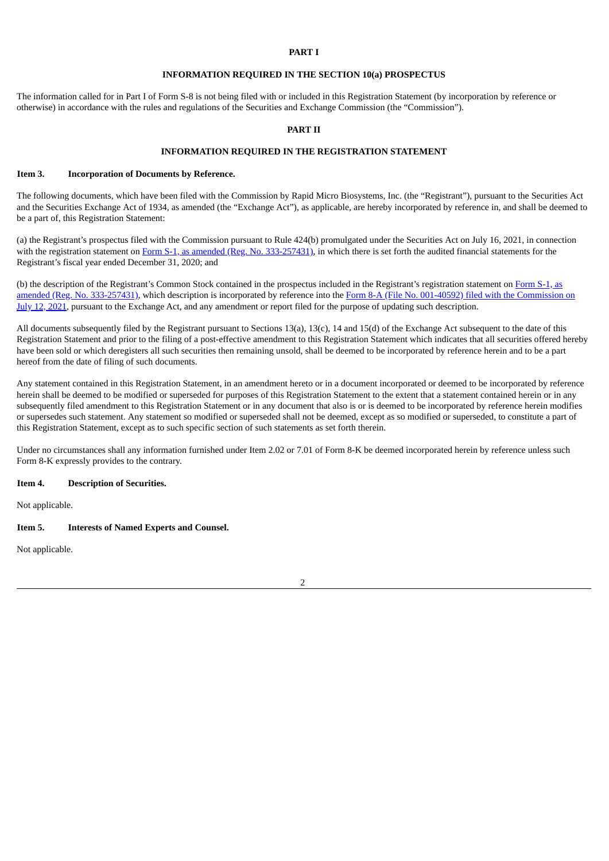## **PART I**

# **INFORMATION REQUIRED IN THE SECTION 10(a) PROSPECTUS**

The information called for in Part I of Form S-8 is not being filed with or included in this Registration Statement (by incorporation by reference or otherwise) in accordance with the rules and regulations of the Securities and Exchange Commission (the "Commission").

### **PART II**

## **INFORMATION REQUIRED IN THE REGISTRATION STATEMENT**

## **Item 3. Incorporation of Documents by Reference.**

The following documents, which have been filed with the Commission by Rapid Micro Biosystems, Inc. (the "Registrant"), pursuant to the Securities Act and the Securities Exchange Act of 1934, as amended (the "Exchange Act"), as applicable, are hereby incorporated by reference in, and shall be deemed to be a part of, this Registration Statement:

(a) the Registrant's prospectus filed with the Commission pursuant to Rule 424(b) promulgated under the Securities Act on July 16, 2021, in connection with the registration statement on Form S-1, as amended (Reg. No. [333-257431\)](https://www.sec.gov/Archives/edgar/data/1380106/000110465921085783/tm219739-8_s1.htm), in which there is set forth the audited financial statements for the Registrant's fiscal year ended December 31, 2020; and

(b) the description of the Registrant's Common Stock contained in the prospectus included in the Registrant's registration statement on Form S-1, as amended (Reg. No. [333-257431\),](https://www.sec.gov/Archives/edgar/data/1380106/000110465921090822/tm219739-11_s1a.htm) which description is incorporated by reference into the Form 8-A (File No. 001-40592) filed with the Commission on July 12, 2021, pursuant to the Exchange Act, and any amendment or report filed for the purpose of updating such description.

All documents subsequently filed by the Registrant pursuant to Sections 13(a), 13(c), 14 and 15(d) of the Exchange Act subsequent to the date of this Registration Statement and prior to the filing of a post-effective amendment to this Registration Statement which indicates that all securities offered hereby have been sold or which deregisters all such securities then remaining unsold, shall be deemed to be incorporated by reference herein and to be a part hereof from the date of filing of such documents.

Any statement contained in this Registration Statement, in an amendment hereto or in a document incorporated or deemed to be incorporated by reference herein shall be deemed to be modified or superseded for purposes of this Registration Statement to the extent that a statement contained herein or in any subsequently filed amendment to this Registration Statement or in any document that also is or is deemed to be incorporated by reference herein modifies or supersedes such statement. Any statement so modified or superseded shall not be deemed, except as so modified or superseded, to constitute a part of this Registration Statement, except as to such specific section of such statements as set forth therein.

Under no circumstances shall any information furnished under Item 2.02 or 7.01 of Form 8-K be deemed incorporated herein by reference unless such Form 8-K expressly provides to the contrary.

## **Item 4. Description of Securities.**

Not applicable.

#### **Item 5. Interests of Named Experts and Counsel.**

Not applicable.

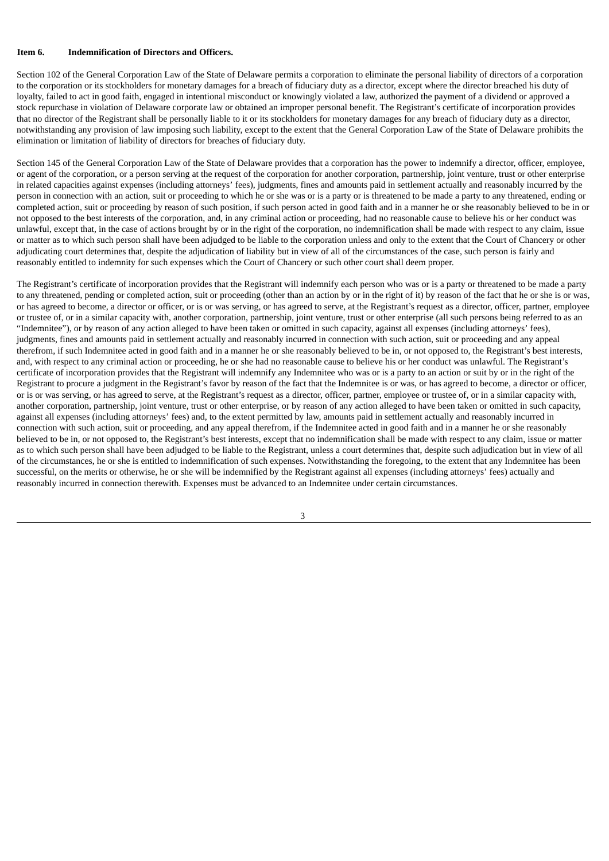## **Item 6. Indemnification of Directors and Officers.**

Section 102 of the General Corporation Law of the State of Delaware permits a corporation to eliminate the personal liability of directors of a corporation to the corporation or its stockholders for monetary damages for a breach of fiduciary duty as a director, except where the director breached his duty of loyalty, failed to act in good faith, engaged in intentional misconduct or knowingly violated a law, authorized the payment of a dividend or approved a stock repurchase in violation of Delaware corporate law or obtained an improper personal benefit. The Registrant's certificate of incorporation provides that no director of the Registrant shall be personally liable to it or its stockholders for monetary damages for any breach of fiduciary duty as a director, notwithstanding any provision of law imposing such liability, except to the extent that the General Corporation Law of the State of Delaware prohibits the elimination or limitation of liability of directors for breaches of fiduciary duty.

Section 145 of the General Corporation Law of the State of Delaware provides that a corporation has the power to indemnify a director, officer, employee, or agent of the corporation, or a person serving at the request of the corporation for another corporation, partnership, joint venture, trust or other enterprise in related capacities against expenses (including attorneys' fees), judgments, fines and amounts paid in settlement actually and reasonably incurred by the person in connection with an action, suit or proceeding to which he or she was or is a party or is threatened to be made a party to any threatened, ending or completed action, suit or proceeding by reason of such position, if such person acted in good faith and in a manner he or she reasonably believed to be in or not opposed to the best interests of the corporation, and, in any criminal action or proceeding, had no reasonable cause to believe his or her conduct was unlawful, except that, in the case of actions brought by or in the right of the corporation, no indemnification shall be made with respect to any claim, issue or matter as to which such person shall have been adjudged to be liable to the corporation unless and only to the extent that the Court of Chancery or other adjudicating court determines that, despite the adjudication of liability but in view of all of the circumstances of the case, such person is fairly and reasonably entitled to indemnity for such expenses which the Court of Chancery or such other court shall deem proper.

The Registrant's certificate of incorporation provides that the Registrant will indemnify each person who was or is a party or threatened to be made a party to any threatened, pending or completed action, suit or proceeding (other than an action by or in the right of it) by reason of the fact that he or she is or was, or has agreed to become, a director or officer, or is or was serving, or has agreed to serve, at the Registrant's request as a director, officer, partner, employee or trustee of, or in a similar capacity with, another corporation, partnership, joint venture, trust or other enterprise (all such persons being referred to as an "Indemnitee"), or by reason of any action alleged to have been taken or omitted in such capacity, against all expenses (including attorneys' fees), judgments, fines and amounts paid in settlement actually and reasonably incurred in connection with such action, suit or proceeding and any appeal therefrom, if such Indemnitee acted in good faith and in a manner he or she reasonably believed to be in, or not opposed to, the Registrant's best interests, and, with respect to any criminal action or proceeding, he or she had no reasonable cause to believe his or her conduct was unlawful. The Registrant's certificate of incorporation provides that the Registrant will indemnify any Indemnitee who was or is a party to an action or suit by or in the right of the Registrant to procure a judgment in the Registrant's favor by reason of the fact that the Indemnitee is or was, or has agreed to become, a director or officer, or is or was serving, or has agreed to serve, at the Registrant's request as a director, officer, partner, employee or trustee of, or in a similar capacity with, another corporation, partnership, joint venture, trust or other enterprise, or by reason of any action alleged to have been taken or omitted in such capacity, against all expenses (including attorneys' fees) and, to the extent permitted by law, amounts paid in settlement actually and reasonably incurred in connection with such action, suit or proceeding, and any appeal therefrom, if the Indemnitee acted in good faith and in a manner he or she reasonably believed to be in, or not opposed to, the Registrant's best interests, except that no indemnification shall be made with respect to any claim, issue or matter as to which such person shall have been adjudged to be liable to the Registrant, unless a court determines that, despite such adjudication but in view of all of the circumstances, he or she is entitled to indemnification of such expenses. Notwithstanding the foregoing, to the extent that any Indemnitee has been successful, on the merits or otherwise, he or she will be indemnified by the Registrant against all expenses (including attorneys' fees) actually and reasonably incurred in connection therewith. Expenses must be advanced to an Indemnitee under certain circumstances.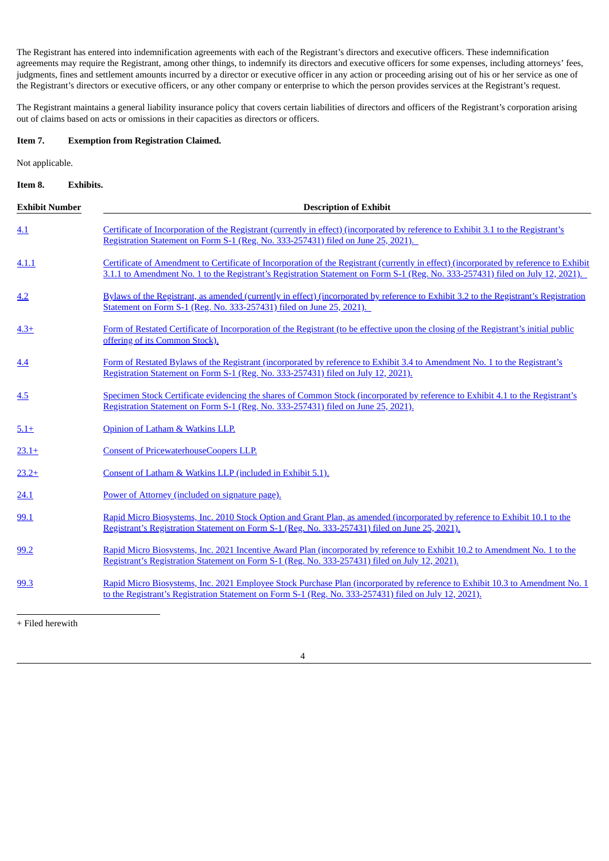The Registrant has entered into indemnification agreements with each of the Registrant's directors and executive officers. These indemnification agreements may require the Registrant, among other things, to indemnify its directors and executive officers for some expenses, including attorneys' fees, judgments, fines and settlement amounts incurred by a director or executive officer in any action or proceeding arising out of his or her service as one of the Registrant's directors or executive officers, or any other company or enterprise to which the person provides services at the Registrant's request.

The Registrant maintains a general liability insurance policy that covers certain liabilities of directors and officers of the Registrant's corporation arising out of claims based on acts or omissions in their capacities as directors or officers.

# **Item 7. Exemption from Registration Claimed.**

Not applicable.

# **Item 8. Exhibits.**

| <b>Exhibit Number</b> | <b>Description of Exhibit</b>                                                                                                                                                                                                                                            |
|-----------------------|--------------------------------------------------------------------------------------------------------------------------------------------------------------------------------------------------------------------------------------------------------------------------|
| 4.1                   | Certificate of Incorporation of the Registrant (currently in effect) (incorporated by reference to Exhibit 3.1 to the Registrant's<br>Registration Statement on Form S-1 (Reg. No. 333-257431) filed on June 25, 2021).                                                  |
| 4.1.1                 | Certificate of Amendment to Certificate of Incorporation of the Registrant (currently in effect) (incorporated by reference to Exhibit<br>3.1.1 to Amendment No. 1 to the Registrant's Registration Statement on Form S-1 (Reg. No. 333-257431) filed on July 12, 2021). |
| 4.2                   | Bylaws of the Registrant, as amended (currently in effect) (incorporated by reference to Exhibit 3.2 to the Registrant's Registration<br>Statement on Form S-1 (Reg. No. 333-257431) filed on June 25, 2021).                                                            |
| $4.3+$                | Form of Restated Certificate of Incorporation of the Registrant (to be effective upon the closing of the Registrant's initial public<br>offering of its Common Stock).                                                                                                   |
| 4.4                   | Form of Restated Bylaws of the Registrant (incorporated by reference to Exhibit 3.4 to Amendment No. 1 to the Registrant's<br>Registration Statement on Form S-1 (Reg. No. 333-257431) filed on July 12, 2021).                                                          |
| 4.5                   | Specimen Stock Certificate evidencing the shares of Common Stock (incorporated by reference to Exhibit 4.1 to the Registrant's<br>Registration Statement on Form S-1 (Reg. No. 333-257431) filed on June 25, 2021).                                                      |
| $5.1+$                | Opinion of Latham & Watkins LLP.                                                                                                                                                                                                                                         |
| $23.1+$               | <b>Consent of PricewaterhouseCoopers LLP.</b>                                                                                                                                                                                                                            |
| $23.2+$               | Consent of Latham & Watkins LLP (included in Exhibit 5.1).                                                                                                                                                                                                               |
| 24.1                  | Power of Attorney (included on signature page).                                                                                                                                                                                                                          |
| 99.1                  | Rapid Micro Biosystems, Inc. 2010 Stock Option and Grant Plan, as amended (incorporated by reference to Exhibit 10.1 to the<br>Registrant's Registration Statement on Form S-1 (Reg. No. 333-257431) filed on June 25, 2021).                                            |
| 99.2                  | Rapid Micro Biosystems, Inc. 2021 Incentive Award Plan (incorporated by reference to Exhibit 10.2 to Amendment No. 1 to the<br>Registrant's Registration Statement on Form S-1 (Reg. No. 333-257431) filed on July 12, 2021).                                            |
| 99.3                  | Rapid Micro Biosystems, Inc. 2021 Employee Stock Purchase Plan (incorporated by reference to Exhibit 10.3 to Amendment No. 1<br>to the Registrant's Registration Statement on Form S-1 (Reg. No. 333-257431) filed on July 12, 2021).                                    |

+ Filed herewith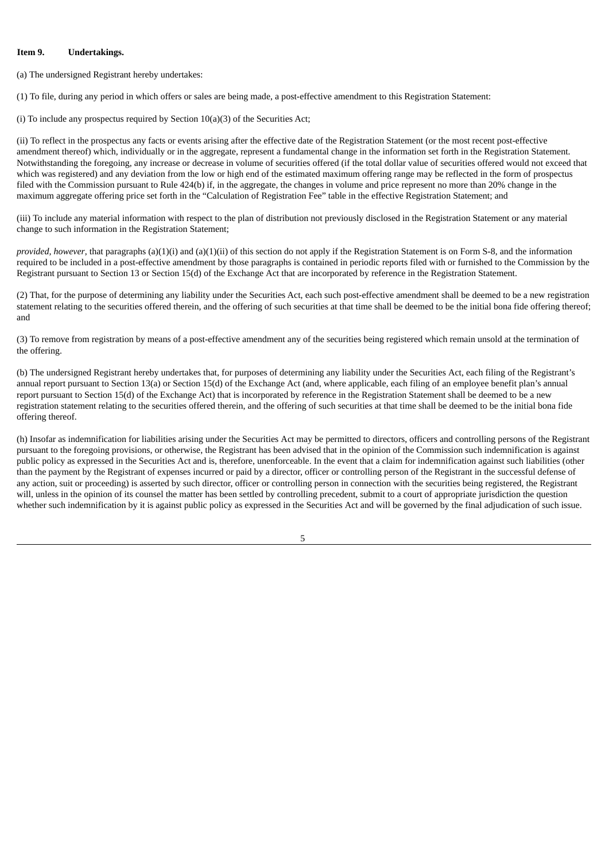## **Item 9. Undertakings.**

(a) The undersigned Registrant hereby undertakes:

(1) To file, during any period in which offers or sales are being made, a post-effective amendment to this Registration Statement:

(i) To include any prospectus required by Section 10(a)(3) of the Securities Act;

(ii) To reflect in the prospectus any facts or events arising after the effective date of the Registration Statement (or the most recent post-effective amendment thereof) which, individually or in the aggregate, represent a fundamental change in the information set forth in the Registration Statement. Notwithstanding the foregoing, any increase or decrease in volume of securities offered (if the total dollar value of securities offered would not exceed that which was registered) and any deviation from the low or high end of the estimated maximum offering range may be reflected in the form of prospectus filed with the Commission pursuant to Rule 424(b) if, in the aggregate, the changes in volume and price represent no more than 20% change in the maximum aggregate offering price set forth in the "Calculation of Registration Fee" table in the effective Registration Statement; and

(iii) To include any material information with respect to the plan of distribution not previously disclosed in the Registration Statement or any material change to such information in the Registration Statement;

*provided, however*, that paragraphs (a)(1)(i) and (a)(1)(ii) of this section do not apply if the Registration Statement is on Form S-8, and the information required to be included in a post-effective amendment by those paragraphs is contained in periodic reports filed with or furnished to the Commission by the Registrant pursuant to Section 13 or Section 15(d) of the Exchange Act that are incorporated by reference in the Registration Statement.

(2) That, for the purpose of determining any liability under the Securities Act, each such post-effective amendment shall be deemed to be a new registration statement relating to the securities offered therein, and the offering of such securities at that time shall be deemed to be the initial bona fide offering thereof; and

(3) To remove from registration by means of a post-effective amendment any of the securities being registered which remain unsold at the termination of the offering.

(b) The undersigned Registrant hereby undertakes that, for purposes of determining any liability under the Securities Act, each filing of the Registrant's annual report pursuant to Section 13(a) or Section 15(d) of the Exchange Act (and, where applicable, each filing of an employee benefit plan's annual report pursuant to Section 15(d) of the Exchange Act) that is incorporated by reference in the Registration Statement shall be deemed to be a new registration statement relating to the securities offered therein, and the offering of such securities at that time shall be deemed to be the initial bona fide offering thereof.

(h) Insofar as indemnification for liabilities arising under the Securities Act may be permitted to directors, officers and controlling persons of the Registrant pursuant to the foregoing provisions, or otherwise, the Registrant has been advised that in the opinion of the Commission such indemnification is against public policy as expressed in the Securities Act and is, therefore, unenforceable. In the event that a claim for indemnification against such liabilities (other than the payment by the Registrant of expenses incurred or paid by a director, officer or controlling person of the Registrant in the successful defense of any action, suit or proceeding) is asserted by such director, officer or controlling person in connection with the securities being registered, the Registrant will, unless in the opinion of its counsel the matter has been settled by controlling precedent, submit to a court of appropriate jurisdiction the question whether such indemnification by it is against public policy as expressed in the Securities Act and will be governed by the final adjudication of such issue.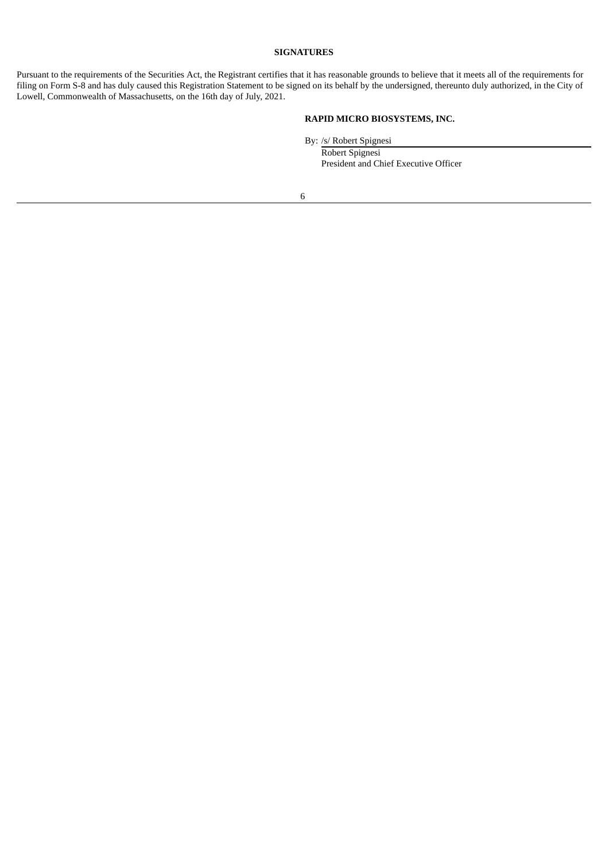# **SIGNATURES**

Pursuant to the requirements of the Securities Act, the Registrant certifies that it has reasonable grounds to believe that it meets all of the requirements for filing on Form S-8 and has duly caused this Registration Statement to be signed on its behalf by the undersigned, thereunto duly authorized, in the City of Lowell, Commonwealth of Massachusetts, on the 16th day of July, 2021.

# **RAPID MICRO BIOSYSTEMS, INC.**

By: /s/ Robert Spignesi Robert Spignesi President and Chief Executive Officer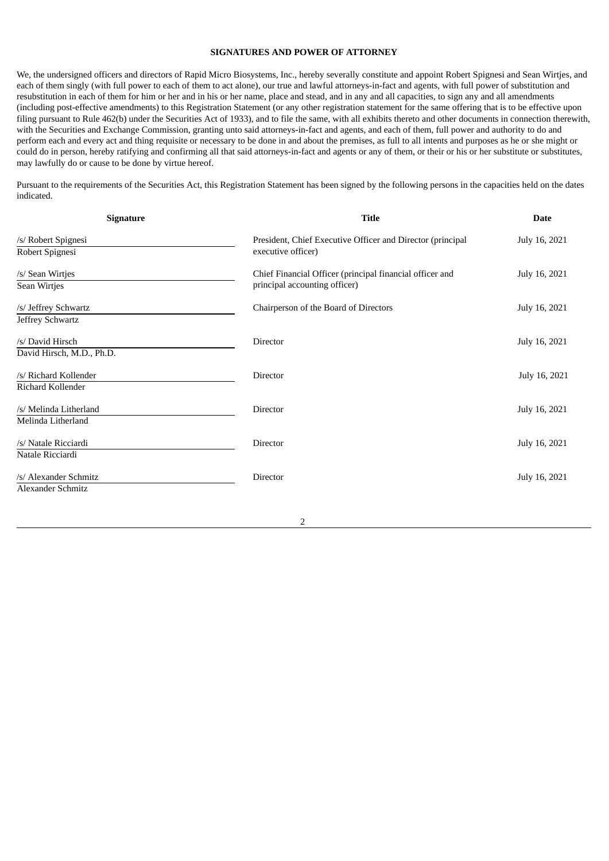# **SIGNATURES AND POWER OF ATTORNEY**

We, the undersigned officers and directors of Rapid Micro Biosystems, Inc., hereby severally constitute and appoint Robert Spignesi and Sean Wirtjes, and each of them singly (with full power to each of them to act alone), our true and lawful attorneys-in-fact and agents, with full power of substitution and resubstitution in each of them for him or her and in his or her name, place and stead, and in any and all capacities, to sign any and all amendments (including post-effective amendments) to this Registration Statement (or any other registration statement for the same offering that is to be effective upon filing pursuant to Rule 462(b) under the Securities Act of 1933), and to file the same, with all exhibits thereto and other documents in connection therewith, with the Securities and Exchange Commission, granting unto said attorneys-in-fact and agents, and each of them, full power and authority to do and perform each and every act and thing requisite or necessary to be done in and about the premises, as full to all intents and purposes as he or she might or could do in person, hereby ratifying and confirming all that said attorneys-in-fact and agents or any of them, or their or his or her substitute or substitutes, may lawfully do or cause to be done by virtue hereof.

Pursuant to the requirements of the Securities Act, this Registration Statement has been signed by the following persons in the capacities held on the dates indicated.

| <b>Signature</b>                                  | <b>Title</b>                                                                              | <b>Date</b>   |
|---------------------------------------------------|-------------------------------------------------------------------------------------------|---------------|
| /s/ Robert Spignesi<br>Robert Spignesi            | President, Chief Executive Officer and Director (principal<br>executive officer)          | July 16, 2021 |
| /s/ Sean Wirtjes<br>Sean Wirtjes                  | Chief Financial Officer (principal financial officer and<br>principal accounting officer) | July 16, 2021 |
| /s/ Jeffrey Schwartz<br>Jeffrey Schwartz          | Chairperson of the Board of Directors                                                     | July 16, 2021 |
| /s/ David Hirsch<br>David Hirsch, M.D., Ph.D.     | Director                                                                                  | July 16, 2021 |
| /s/ Richard Kollender<br>Richard Kollender        | Director                                                                                  | July 16, 2021 |
| /s/ Melinda Litherland<br>Melinda Litherland      | <b>Director</b>                                                                           | July 16, 2021 |
| /s/ Natale Ricciardi<br>Natale Ricciardi          | Director                                                                                  | July 16, 2021 |
| /s/ Alexander Schmitz<br><b>Alexander Schmitz</b> | Director                                                                                  | July 16, 2021 |
|                                                   |                                                                                           |               |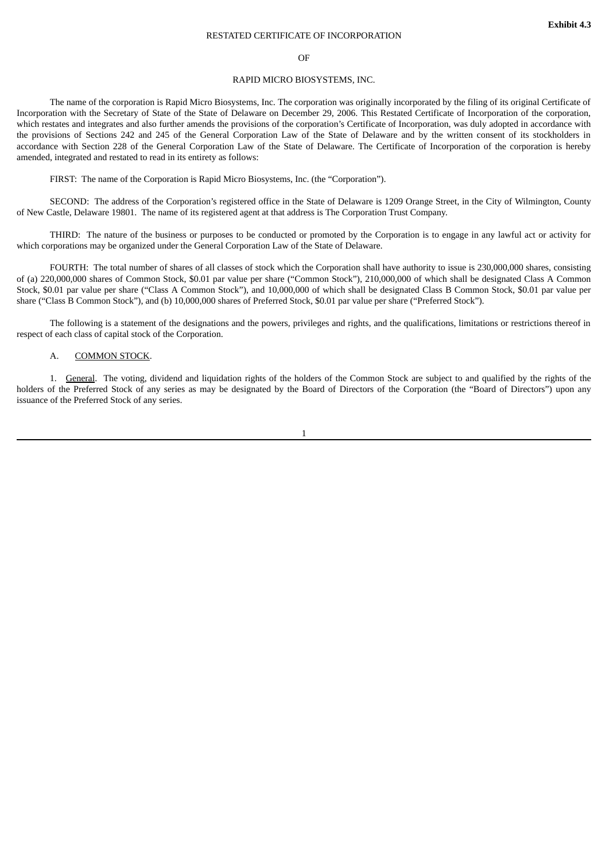#### RESTATED CERTIFICATE OF INCORPORATION

#### OF

#### RAPID MICRO BIOSYSTEMS, INC.

<span id="page-8-0"></span>The name of the corporation is Rapid Micro Biosystems, Inc. The corporation was originally incorporated by the filing of its original Certificate of Incorporation with the Secretary of State of the State of Delaware on December 29, 2006. This Restated Certificate of Incorporation of the corporation, which restates and integrates and also further amends the provisions of the corporation's Certificate of Incorporation, was duly adopted in accordance with the provisions of Sections 242 and 245 of the General Corporation Law of the State of Delaware and by the written consent of its stockholders in accordance with Section 228 of the General Corporation Law of the State of Delaware. The Certificate of Incorporation of the corporation is hereby amended, integrated and restated to read in its entirety as follows:

FIRST: The name of the Corporation is Rapid Micro Biosystems, Inc. (the "Corporation").

SECOND: The address of the Corporation's registered office in the State of Delaware is 1209 Orange Street, in the City of Wilmington, County of New Castle, Delaware 19801. The name of its registered agent at that address is The Corporation Trust Company.

THIRD: The nature of the business or purposes to be conducted or promoted by the Corporation is to engage in any lawful act or activity for which corporations may be organized under the General Corporation Law of the State of Delaware.

FOURTH: The total number of shares of all classes of stock which the Corporation shall have authority to issue is 230,000,000 shares, consisting of (a) 220,000,000 shares of Common Stock, \$0.01 par value per share ("Common Stock"), 210,000,000 of which shall be designated Class A Common Stock, \$0.01 par value per share ("Class A Common Stock"), and 10,000,000 of which shall be designated Class B Common Stock, \$0.01 par value per share ("Class B Common Stock"), and (b) 10,000,000 shares of Preferred Stock, \$0.01 par value per share ("Preferred Stock").

The following is a statement of the designations and the powers, privileges and rights, and the qualifications, limitations or restrictions thereof in respect of each class of capital stock of the Corporation.

## A. COMMON STOCK.

1. General. The voting, dividend and liquidation rights of the holders of the Common Stock are subject to and qualified by the rights of the holders of the Preferred Stock of any series as may be designated by the Board of Directors of the Corporation (the "Board of Directors") upon any issuance of the Preferred Stock of any series.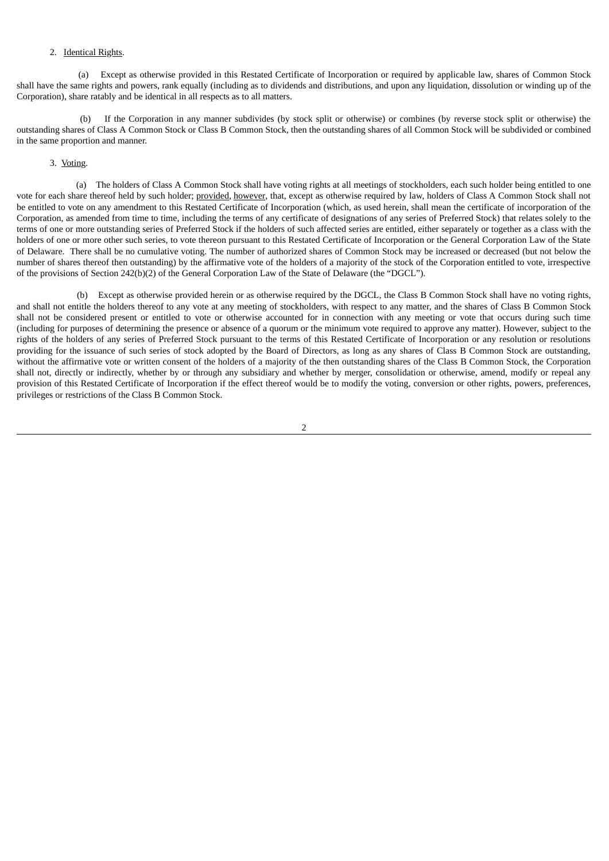# 2. Identical Rights.

(a) Except as otherwise provided in this Restated Certificate of Incorporation or required by applicable law, shares of Common Stock shall have the same rights and powers, rank equally (including as to dividends and distributions, and upon any liquidation, dissolution or winding up of the Corporation), share ratably and be identical in all respects as to all matters.

(b) If the Corporation in any manner subdivides (by stock split or otherwise) or combines (by reverse stock split or otherwise) the outstanding shares of Class A Common Stock or Class B Common Stock, then the outstanding shares of all Common Stock will be subdivided or combined in the same proportion and manner.

## 3. Voting.

(a) The holders of Class A Common Stock shall have voting rights at all meetings of stockholders, each such holder being entitled to one vote for each share thereof held by such holder; provided, however, that, except as otherwise required by law, holders of Class A Common Stock shall not be entitled to vote on any amendment to this Restated Certificate of Incorporation (which, as used herein, shall mean the certificate of incorporation of the Corporation, as amended from time to time, including the terms of any certificate of designations of any series of Preferred Stock) that relates solely to the terms of one or more outstanding series of Preferred Stock if the holders of such affected series are entitled, either separately or together as a class with the holders of one or more other such series, to vote thereon pursuant to this Restated Certificate of Incorporation or the General Corporation Law of the State of Delaware. There shall be no cumulative voting. The number of authorized shares of Common Stock may be increased or decreased (but not below the number of shares thereof then outstanding) by the affirmative vote of the holders of a majority of the stock of the Corporation entitled to vote, irrespective of the provisions of Section 242(b)(2) of the General Corporation Law of the State of Delaware (the "DGCL").

(b) Except as otherwise provided herein or as otherwise required by the DGCL, the Class B Common Stock shall have no voting rights, and shall not entitle the holders thereof to any vote at any meeting of stockholders, with respect to any matter, and the shares of Class B Common Stock shall not be considered present or entitled to vote or otherwise accounted for in connection with any meeting or vote that occurs during such time (including for purposes of determining the presence or absence of a quorum or the minimum vote required to approve any matter). However, subject to the rights of the holders of any series of Preferred Stock pursuant to the terms of this Restated Certificate of Incorporation or any resolution or resolutions providing for the issuance of such series of stock adopted by the Board of Directors, as long as any shares of Class B Common Stock are outstanding, without the affirmative vote or written consent of the holders of a majority of the then outstanding shares of the Class B Common Stock, the Corporation shall not, directly or indirectly, whether by or through any subsidiary and whether by merger, consolidation or otherwise, amend, modify or repeal any provision of this Restated Certificate of Incorporation if the effect thereof would be to modify the voting, conversion or other rights, powers, preferences, privileges or restrictions of the Class B Common Stock.

 $\overline{2}$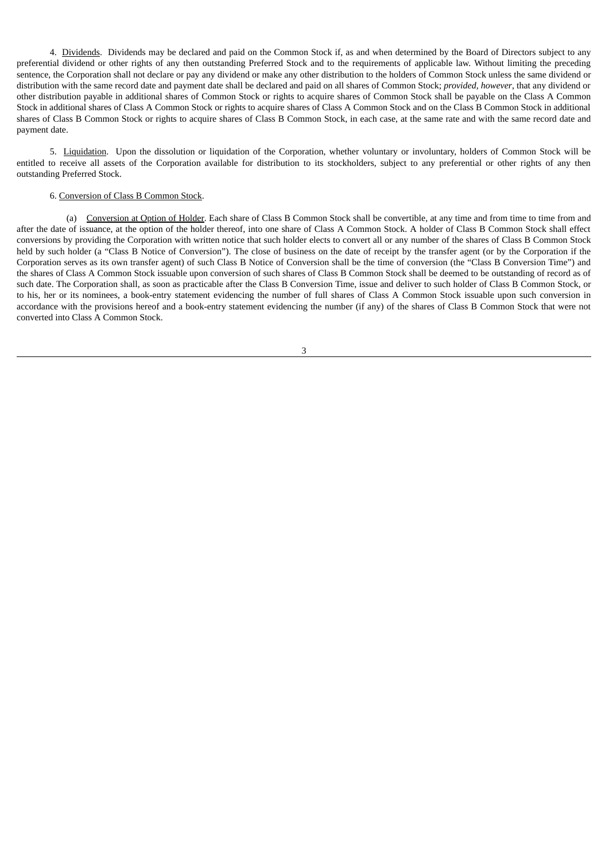4. Dividends. Dividends may be declared and paid on the Common Stock if, as and when determined by the Board of Directors subject to any preferential dividend or other rights of any then outstanding Preferred Stock and to the requirements of applicable law. Without limiting the preceding sentence, the Corporation shall not declare or pay any dividend or make any other distribution to the holders of Common Stock unless the same dividend or distribution with the same record date and payment date shall be declared and paid on all shares of Common Stock; *provided*, *however*, that any dividend or other distribution payable in additional shares of Common Stock or rights to acquire shares of Common Stock shall be payable on the Class A Common Stock in additional shares of Class A Common Stock or rights to acquire shares of Class A Common Stock and on the Class B Common Stock in additional shares of Class B Common Stock or rights to acquire shares of Class B Common Stock, in each case, at the same rate and with the same record date and payment date.

5. Liquidation. Upon the dissolution or liquidation of the Corporation, whether voluntary or involuntary, holders of Common Stock will be entitled to receive all assets of the Corporation available for distribution to its stockholders, subject to any preferential or other rights of any then outstanding Preferred Stock.

# 6. Conversion of Class B Common Stock.

(a) Conversion at Option of Holder. Each share of Class B Common Stock shall be convertible, at any time and from time to time from and after the date of issuance, at the option of the holder thereof, into one share of Class A Common Stock. A holder of Class B Common Stock shall effect conversions by providing the Corporation with written notice that such holder elects to convert all or any number of the shares of Class B Common Stock held by such holder (a "Class B Notice of Conversion"). The close of business on the date of receipt by the transfer agent (or by the Corporation if the Corporation serves as its own transfer agent) of such Class B Notice of Conversion shall be the time of conversion (the "Class B Conversion Time") and the shares of Class A Common Stock issuable upon conversion of such shares of Class B Common Stock shall be deemed to be outstanding of record as of such date. The Corporation shall, as soon as practicable after the Class B Conversion Time, issue and deliver to such holder of Class B Common Stock, or to his, her or its nominees, a book-entry statement evidencing the number of full shares of Class A Common Stock issuable upon such conversion in accordance with the provisions hereof and a book-entry statement evidencing the number (if any) of the shares of Class B Common Stock that were not converted into Class A Common Stock.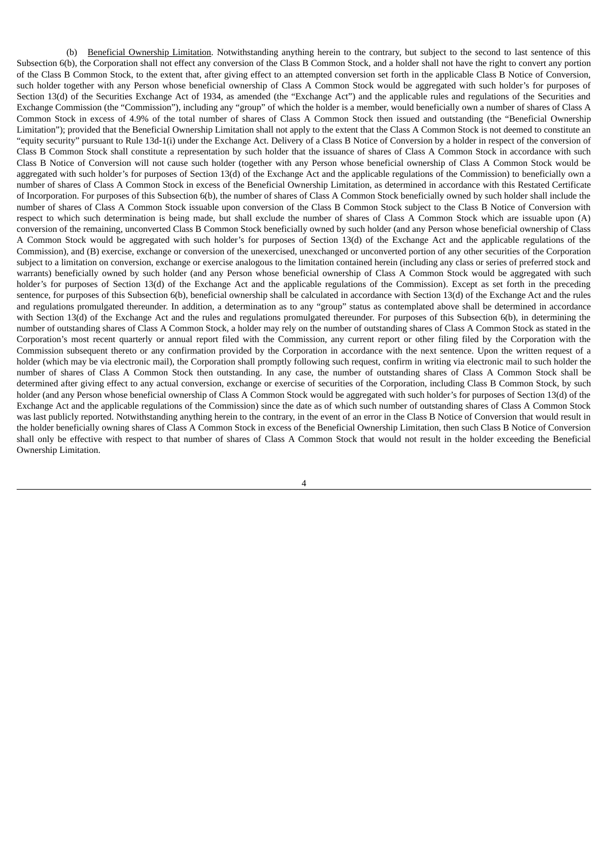(b) Beneficial Ownership Limitation. Notwithstanding anything herein to the contrary, but subject to the second to last sentence of this Subsection 6(b), the Corporation shall not effect any conversion of the Class B Common Stock, and a holder shall not have the right to convert any portion of the Class B Common Stock, to the extent that, after giving effect to an attempted conversion set forth in the applicable Class B Notice of Conversion, such holder together with any Person whose beneficial ownership of Class A Common Stock would be aggregated with such holder's for purposes of Section 13(d) of the Securities Exchange Act of 1934, as amended (the "Exchange Act") and the applicable rules and regulations of the Securities and Exchange Commission (the "Commission"), including any "group" of which the holder is a member, would beneficially own a number of shares of Class A Common Stock in excess of 4.9% of the total number of shares of Class A Common Stock then issued and outstanding (the "Beneficial Ownership Limitation"); provided that the Beneficial Ownership Limitation shall not apply to the extent that the Class A Common Stock is not deemed to constitute an "equity security" pursuant to Rule 13d-1(i) under the Exchange Act. Delivery of a Class B Notice of Conversion by a holder in respect of the conversion of Class B Common Stock shall constitute a representation by such holder that the issuance of shares of Class A Common Stock in accordance with such Class B Notice of Conversion will not cause such holder (together with any Person whose beneficial ownership of Class A Common Stock would be aggregated with such holder's for purposes of Section 13(d) of the Exchange Act and the applicable regulations of the Commission) to beneficially own a number of shares of Class A Common Stock in excess of the Beneficial Ownership Limitation, as determined in accordance with this Restated Certificate of Incorporation. For purposes of this Subsection 6(b), the number of shares of Class A Common Stock beneficially owned by such holder shall include the number of shares of Class A Common Stock issuable upon conversion of the Class B Common Stock subject to the Class B Notice of Conversion with respect to which such determination is being made, but shall exclude the number of shares of Class A Common Stock which are issuable upon (A) conversion of the remaining, unconverted Class B Common Stock beneficially owned by such holder (and any Person whose beneficial ownership of Class A Common Stock would be aggregated with such holder's for purposes of Section 13(d) of the Exchange Act and the applicable regulations of the Commission), and (B) exercise, exchange or conversion of the unexercised, unexchanged or unconverted portion of any other securities of the Corporation subject to a limitation on conversion, exchange or exercise analogous to the limitation contained herein (including any class or series of preferred stock and warrants) beneficially owned by such holder (and any Person whose beneficial ownership of Class A Common Stock would be aggregated with such holder's for purposes of Section 13(d) of the Exchange Act and the applicable regulations of the Commission). Except as set forth in the preceding sentence, for purposes of this Subsection 6(b), beneficial ownership shall be calculated in accordance with Section 13(d) of the Exchange Act and the rules and regulations promulgated thereunder. In addition, a determination as to any "group" status as contemplated above shall be determined in accordance with Section 13(d) of the Exchange Act and the rules and regulations promulgated thereunder. For purposes of this Subsection 6(b), in determining the number of outstanding shares of Class A Common Stock, a holder may rely on the number of outstanding shares of Class A Common Stock as stated in the Corporation's most recent quarterly or annual report filed with the Commission, any current report or other filing filed by the Corporation with the Commission subsequent thereto or any confirmation provided by the Corporation in accordance with the next sentence. Upon the written request of a holder (which may be via electronic mail), the Corporation shall promptly following such request, confirm in writing via electronic mail to such holder the number of shares of Class A Common Stock then outstanding. In any case, the number of outstanding shares of Class A Common Stock shall be determined after giving effect to any actual conversion, exchange or exercise of securities of the Corporation, including Class B Common Stock, by such holder (and any Person whose beneficial ownership of Class A Common Stock would be aggregated with such holder's for purposes of Section 13(d) of the Exchange Act and the applicable regulations of the Commission) since the date as of which such number of outstanding shares of Class A Common Stock was last publicly reported. Notwithstanding anything herein to the contrary, in the event of an error in the Class B Notice of Conversion that would result in the holder beneficially owning shares of Class A Common Stock in excess of the Beneficial Ownership Limitation, then such Class B Notice of Conversion shall only be effective with respect to that number of shares of Class A Common Stock that would not result in the holder exceeding the Beneficial Ownership Limitation.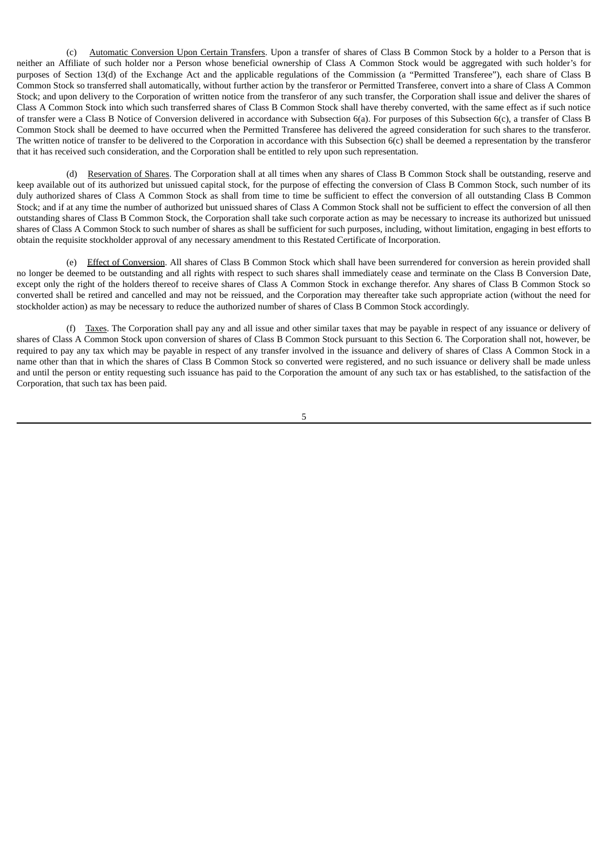(c) Automatic Conversion Upon Certain Transfers. Upon a transfer of shares of Class B Common Stock by a holder to a Person that is neither an Affiliate of such holder nor a Person whose beneficial ownership of Class A Common Stock would be aggregated with such holder's for purposes of Section 13(d) of the Exchange Act and the applicable regulations of the Commission (a "Permitted Transferee"), each share of Class B Common Stock so transferred shall automatically, without further action by the transferor or Permitted Transferee, convert into a share of Class A Common Stock; and upon delivery to the Corporation of written notice from the transferor of any such transfer, the Corporation shall issue and deliver the shares of Class A Common Stock into which such transferred shares of Class B Common Stock shall have thereby converted, with the same effect as if such notice of transfer were a Class B Notice of Conversion delivered in accordance with Subsection 6(a). For purposes of this Subsection 6(c), a transfer of Class B Common Stock shall be deemed to have occurred when the Permitted Transferee has delivered the agreed consideration for such shares to the transferor. The written notice of transfer to be delivered to the Corporation in accordance with this Subsection 6(c) shall be deemed a representation by the transferor that it has received such consideration, and the Corporation shall be entitled to rely upon such representation.

(d) Reservation of Shares. The Corporation shall at all times when any shares of Class B Common Stock shall be outstanding, reserve and keep available out of its authorized but unissued capital stock, for the purpose of effecting the conversion of Class B Common Stock, such number of its duly authorized shares of Class A Common Stock as shall from time to time be sufficient to effect the conversion of all outstanding Class B Common Stock; and if at any time the number of authorized but unissued shares of Class A Common Stock shall not be sufficient to effect the conversion of all then outstanding shares of Class B Common Stock, the Corporation shall take such corporate action as may be necessary to increase its authorized but unissued shares of Class A Common Stock to such number of shares as shall be sufficient for such purposes, including, without limitation, engaging in best efforts to obtain the requisite stockholder approval of any necessary amendment to this Restated Certificate of Incorporation.

(e) Effect of Conversion. All shares of Class B Common Stock which shall have been surrendered for conversion as herein provided shall no longer be deemed to be outstanding and all rights with respect to such shares shall immediately cease and terminate on the Class B Conversion Date, except only the right of the holders thereof to receive shares of Class A Common Stock in exchange therefor. Any shares of Class B Common Stock so converted shall be retired and cancelled and may not be reissued, and the Corporation may thereafter take such appropriate action (without the need for stockholder action) as may be necessary to reduce the authorized number of shares of Class B Common Stock accordingly.

(f) Taxes. The Corporation shall pay any and all issue and other similar taxes that may be payable in respect of any issuance or delivery of shares of Class A Common Stock upon conversion of shares of Class B Common Stock pursuant to this Section 6. The Corporation shall not, however, be required to pay any tax which may be payable in respect of any transfer involved in the issuance and delivery of shares of Class A Common Stock in a name other than that in which the shares of Class B Common Stock so converted were registered, and no such issuance or delivery shall be made unless and until the person or entity requesting such issuance has paid to the Corporation the amount of any such tax or has established, to the satisfaction of the Corporation, that such tax has been paid.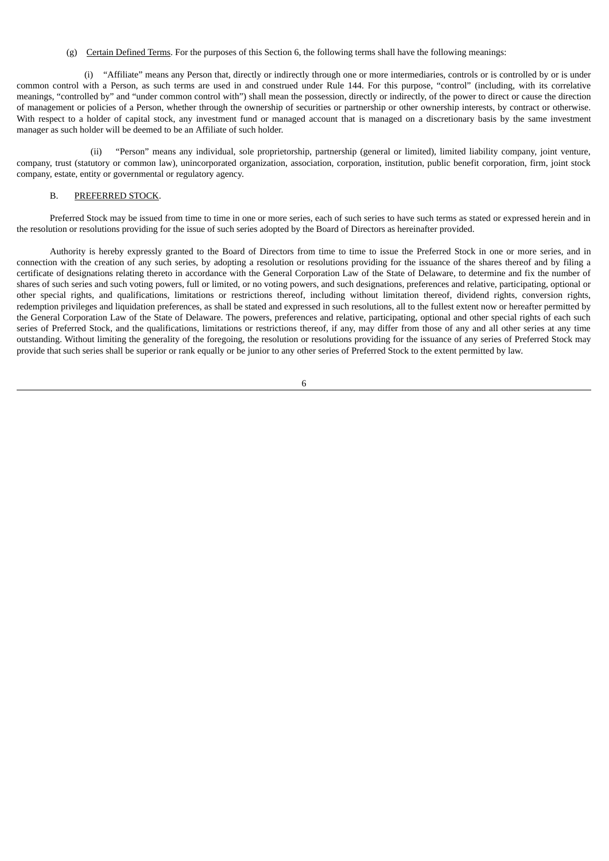# (g) Certain Defined Terms. For the purposes of this Section 6, the following terms shall have the following meanings:

(i) "Affiliate" means any Person that, directly or indirectly through one or more intermediaries, controls or is controlled by or is under common control with a Person, as such terms are used in and construed under Rule 144. For this purpose, "control" (including, with its correlative meanings, "controlled by" and "under common control with") shall mean the possession, directly or indirectly, of the power to direct or cause the direction of management or policies of a Person, whether through the ownership of securities or partnership or other ownership interests, by contract or otherwise. With respect to a holder of capital stock, any investment fund or managed account that is managed on a discretionary basis by the same investment manager as such holder will be deemed to be an Affiliate of such holder.

(ii) "Person" means any individual, sole proprietorship, partnership (general or limited), limited liability company, joint venture, company, trust (statutory or common law), unincorporated organization, association, corporation, institution, public benefit corporation, firm, joint stock company, estate, entity or governmental or regulatory agency.

# B. PREFERRED STOCK.

Preferred Stock may be issued from time to time in one or more series, each of such series to have such terms as stated or expressed herein and in the resolution or resolutions providing for the issue of such series adopted by the Board of Directors as hereinafter provided.

Authority is hereby expressly granted to the Board of Directors from time to time to issue the Preferred Stock in one or more series, and in connection with the creation of any such series, by adopting a resolution or resolutions providing for the issuance of the shares thereof and by filing a certificate of designations relating thereto in accordance with the General Corporation Law of the State of Delaware, to determine and fix the number of shares of such series and such voting powers, full or limited, or no voting powers, and such designations, preferences and relative, participating, optional or other special rights, and qualifications, limitations or restrictions thereof, including without limitation thereof, dividend rights, conversion rights, redemption privileges and liquidation preferences, as shall be stated and expressed in such resolutions, all to the fullest extent now or hereafter permitted by the General Corporation Law of the State of Delaware. The powers, preferences and relative, participating, optional and other special rights of each such series of Preferred Stock, and the qualifications, limitations or restrictions thereof, if any, may differ from those of any and all other series at any time outstanding. Without limiting the generality of the foregoing, the resolution or resolutions providing for the issuance of any series of Preferred Stock may provide that such series shall be superior or rank equally or be junior to any other series of Preferred Stock to the extent permitted by law.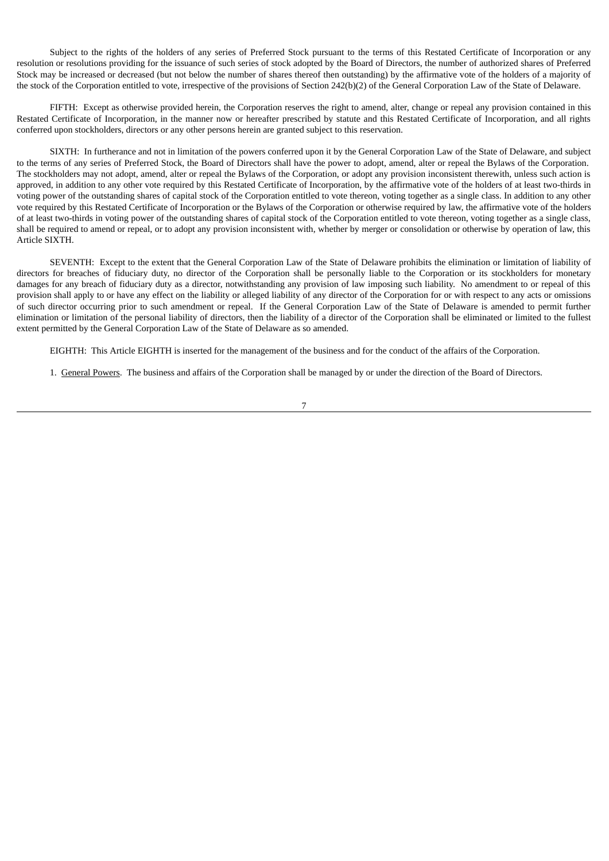Subject to the rights of the holders of any series of Preferred Stock pursuant to the terms of this Restated Certificate of Incorporation or any resolution or resolutions providing for the issuance of such series of stock adopted by the Board of Directors, the number of authorized shares of Preferred Stock may be increased or decreased (but not below the number of shares thereof then outstanding) by the affirmative vote of the holders of a majority of the stock of the Corporation entitled to vote, irrespective of the provisions of Section 242(b)(2) of the General Corporation Law of the State of Delaware.

FIFTH: Except as otherwise provided herein, the Corporation reserves the right to amend, alter, change or repeal any provision contained in this Restated Certificate of Incorporation, in the manner now or hereafter prescribed by statute and this Restated Certificate of Incorporation, and all rights conferred upon stockholders, directors or any other persons herein are granted subject to this reservation.

SIXTH: In furtherance and not in limitation of the powers conferred upon it by the General Corporation Law of the State of Delaware, and subject to the terms of any series of Preferred Stock, the Board of Directors shall have the power to adopt, amend, alter or repeal the Bylaws of the Corporation. The stockholders may not adopt, amend, alter or repeal the Bylaws of the Corporation, or adopt any provision inconsistent therewith, unless such action is approved, in addition to any other vote required by this Restated Certificate of Incorporation, by the affirmative vote of the holders of at least two-thirds in voting power of the outstanding shares of capital stock of the Corporation entitled to vote thereon, voting together as a single class. In addition to any other vote required by this Restated Certificate of Incorporation or the Bylaws of the Corporation or otherwise required by law, the affirmative vote of the holders of at least two-thirds in voting power of the outstanding shares of capital stock of the Corporation entitled to vote thereon, voting together as a single class, shall be required to amend or repeal, or to adopt any provision inconsistent with, whether by merger or consolidation or otherwise by operation of law, this Article SIXTH.

SEVENTH: Except to the extent that the General Corporation Law of the State of Delaware prohibits the elimination or limitation of liability of directors for breaches of fiduciary duty, no director of the Corporation shall be personally liable to the Corporation or its stockholders for monetary damages for any breach of fiduciary duty as a director, notwithstanding any provision of law imposing such liability. No amendment to or repeal of this provision shall apply to or have any effect on the liability or alleged liability of any director of the Corporation for or with respect to any acts or omissions of such director occurring prior to such amendment or repeal. If the General Corporation Law of the State of Delaware is amended to permit further elimination or limitation of the personal liability of directors, then the liability of a director of the Corporation shall be eliminated or limited to the fullest extent permitted by the General Corporation Law of the State of Delaware as so amended.

EIGHTH: This Article EIGHTH is inserted for the management of the business and for the conduct of the affairs of the Corporation.

1. General Powers. The business and affairs of the Corporation shall be managed by or under the direction of the Board of Directors.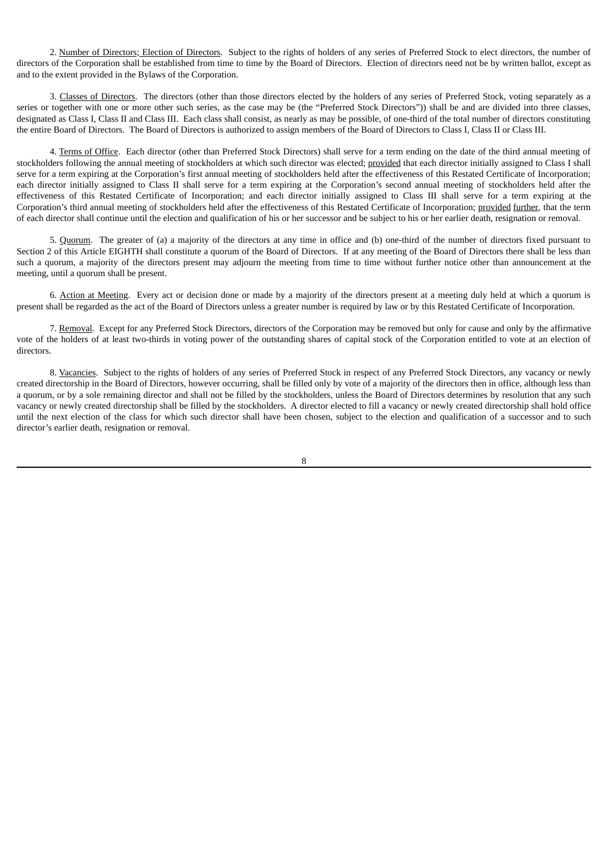2. Number of Directors; Election of Directors. Subject to the rights of holders of any series of Preferred Stock to elect directors, the number of directors of the Corporation shall be established from time to time by the Board of Directors. Election of directors need not be by written ballot, except as and to the extent provided in the Bylaws of the Corporation.

3. Classes of Directors. The directors (other than those directors elected by the holders of any series of Preferred Stock, voting separately as a series or together with one or more other such series, as the case may be (the "Preferred Stock Directors")) shall be and are divided into three classes, designated as Class I, Class II and Class III. Each class shall consist, as nearly as may be possible, of one-third of the total number of directors constituting the entire Board of Directors. The Board of Directors is authorized to assign members of the Board of Directors to Class I, Class II or Class III.

4. Terms of Office. Each director (other than Preferred Stock Directors) shall serve for a term ending on the date of the third annual meeting of stockholders following the annual meeting of stockholders at which such director was elected; provided that each director initially assigned to Class I shall serve for a term expiring at the Corporation's first annual meeting of stockholders held after the effectiveness of this Restated Certificate of Incorporation; each director initially assigned to Class II shall serve for a term expiring at the Corporation's second annual meeting of stockholders held after the effectiveness of this Restated Certificate of Incorporation; and each director initially assigned to Class III shall serve for a term expiring at the Corporation's third annual meeting of stockholders held after the effectiveness of this Restated Certificate of Incorporation; provided further, that the term of each director shall continue until the election and qualification of his or her successor and be subject to his or her earlier death, resignation or removal.

5. Quorum. The greater of (a) a majority of the directors at any time in office and (b) one-third of the number of directors fixed pursuant to Section 2 of this Article EIGHTH shall constitute a quorum of the Board of Directors. If at any meeting of the Board of Directors there shall be less than such a quorum, a majority of the directors present may adjourn the meeting from time to time without further notice other than announcement at the meeting, until a quorum shall be present.

6. Action at Meeting. Every act or decision done or made by a majority of the directors present at a meeting duly held at which a quorum is present shall be regarded as the act of the Board of Directors unless a greater number is required by law or by this Restated Certificate of Incorporation.

7. Removal. Except for any Preferred Stock Directors, directors of the Corporation may be removed but only for cause and only by the affirmative vote of the holders of at least two-thirds in voting power of the outstanding shares of capital stock of the Corporation entitled to vote at an election of directors.

8. Vacancies. Subject to the rights of holders of any series of Preferred Stock in respect of any Preferred Stock Directors, any vacancy or newly created directorship in the Board of Directors, however occurring, shall be filled only by vote of a majority of the directors then in office, although less than a quorum, or by a sole remaining director and shall not be filled by the stockholders, unless the Board of Directors determines by resolution that any such vacancy or newly created directorship shall be filled by the stockholders. A director elected to fill a vacancy or newly created directorship shall hold office until the next election of the class for which such director shall have been chosen, subject to the election and qualification of a successor and to such director's earlier death, resignation or removal.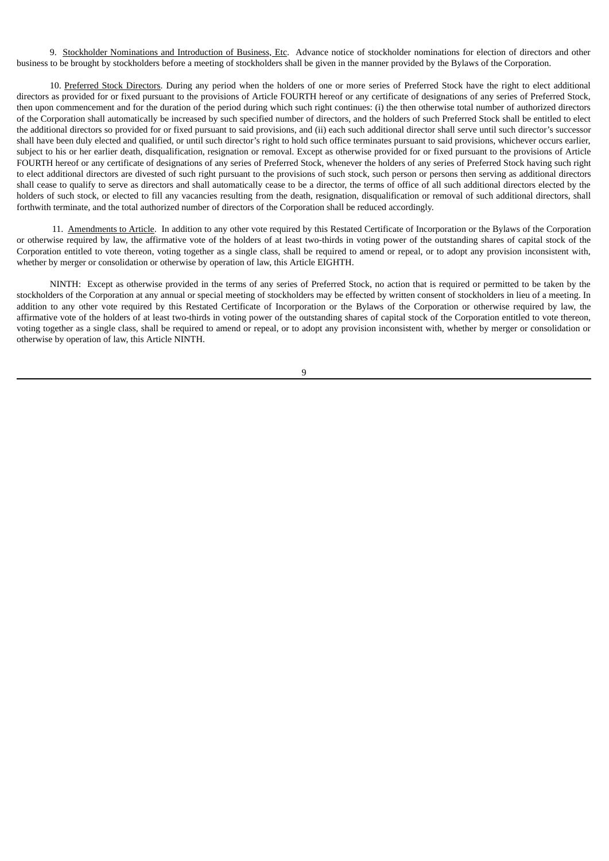9. Stockholder Nominations and Introduction of Business, Etc. Advance notice of stockholder nominations for election of directors and other business to be brought by stockholders before a meeting of stockholders shall be given in the manner provided by the Bylaws of the Corporation.

10. Preferred Stock Directors. During any period when the holders of one or more series of Preferred Stock have the right to elect additional directors as provided for or fixed pursuant to the provisions of Article FOURTH hereof or any certificate of designations of any series of Preferred Stock, then upon commencement and for the duration of the period during which such right continues: (i) the then otherwise total number of authorized directors of the Corporation shall automatically be increased by such specified number of directors, and the holders of such Preferred Stock shall be entitled to elect the additional directors so provided for or fixed pursuant to said provisions, and (ii) each such additional director shall serve until such director's successor shall have been duly elected and qualified, or until such director's right to hold such office terminates pursuant to said provisions, whichever occurs earlier, subject to his or her earlier death, disqualification, resignation or removal. Except as otherwise provided for or fixed pursuant to the provisions of Article FOURTH hereof or any certificate of designations of any series of Preferred Stock, whenever the holders of any series of Preferred Stock having such right to elect additional directors are divested of such right pursuant to the provisions of such stock, such person or persons then serving as additional directors shall cease to qualify to serve as directors and shall automatically cease to be a director, the terms of office of all such additional directors elected by the holders of such stock, or elected to fill any vacancies resulting from the death, resignation, disqualification or removal of such additional directors, shall forthwith terminate, and the total authorized number of directors of the Corporation shall be reduced accordingly.

11. Amendments to Article. In addition to any other vote required by this Restated Certificate of Incorporation or the Bylaws of the Corporation or otherwise required by law, the affirmative vote of the holders of at least two-thirds in voting power of the outstanding shares of capital stock of the Corporation entitled to vote thereon, voting together as a single class, shall be required to amend or repeal, or to adopt any provision inconsistent with, whether by merger or consolidation or otherwise by operation of law, this Article EIGHTH.

NINTH: Except as otherwise provided in the terms of any series of Preferred Stock, no action that is required or permitted to be taken by the stockholders of the Corporation at any annual or special meeting of stockholders may be effected by written consent of stockholders in lieu of a meeting. In addition to any other vote required by this Restated Certificate of Incorporation or the Bylaws of the Corporation or otherwise required by law, the affirmative vote of the holders of at least two-thirds in voting power of the outstanding shares of capital stock of the Corporation entitled to vote thereon, voting together as a single class, shall be required to amend or repeal, or to adopt any provision inconsistent with, whether by merger or consolidation or otherwise by operation of law, this Article NINTH.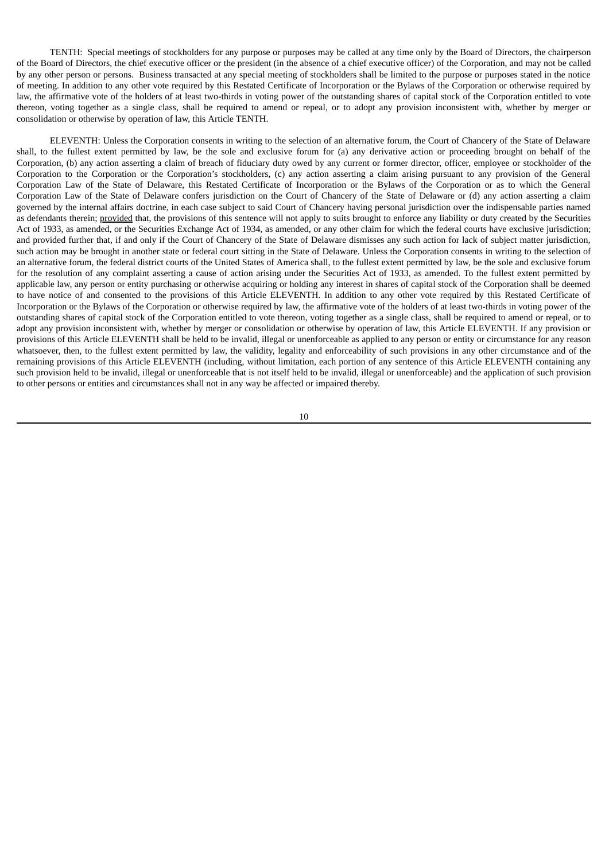TENTH: Special meetings of stockholders for any purpose or purposes may be called at any time only by the Board of Directors, the chairperson of the Board of Directors, the chief executive officer or the president (in the absence of a chief executive officer) of the Corporation, and may not be called by any other person or persons. Business transacted at any special meeting of stockholders shall be limited to the purpose or purposes stated in the notice of meeting. In addition to any other vote required by this Restated Certificate of Incorporation or the Bylaws of the Corporation or otherwise required by law, the affirmative vote of the holders of at least two-thirds in voting power of the outstanding shares of capital stock of the Corporation entitled to vote thereon, voting together as a single class, shall be required to amend or repeal, or to adopt any provision inconsistent with, whether by merger or consolidation or otherwise by operation of law, this Article TENTH.

ELEVENTH: Unless the Corporation consents in writing to the selection of an alternative forum, the Court of Chancery of the State of Delaware shall, to the fullest extent permitted by law, be the sole and exclusive forum for (a) any derivative action or proceeding brought on behalf of the Corporation, (b) any action asserting a claim of breach of fiduciary duty owed by any current or former director, officer, employee or stockholder of the Corporation to the Corporation or the Corporation's stockholders, (c) any action asserting a claim arising pursuant to any provision of the General Corporation Law of the State of Delaware, this Restated Certificate of Incorporation or the Bylaws of the Corporation or as to which the General Corporation Law of the State of Delaware confers jurisdiction on the Court of Chancery of the State of Delaware or (d) any action asserting a claim governed by the internal affairs doctrine, in each case subject to said Court of Chancery having personal jurisdiction over the indispensable parties named as defendants therein; provided that, the provisions of this sentence will not apply to suits brought to enforce any liability or duty created by the Securities Act of 1933, as amended, or the Securities Exchange Act of 1934, as amended, or any other claim for which the federal courts have exclusive jurisdiction; and provided further that, if and only if the Court of Chancery of the State of Delaware dismisses any such action for lack of subject matter jurisdiction, such action may be brought in another state or federal court sitting in the State of Delaware. Unless the Corporation consents in writing to the selection of an alternative forum, the federal district courts of the United States of America shall, to the fullest extent permitted by law, be the sole and exclusive forum for the resolution of any complaint asserting a cause of action arising under the Securities Act of 1933, as amended. To the fullest extent permitted by applicable law, any person or entity purchasing or otherwise acquiring or holding any interest in shares of capital stock of the Corporation shall be deemed to have notice of and consented to the provisions of this Article ELEVENTH. In addition to any other vote required by this Restated Certificate of Incorporation or the Bylaws of the Corporation or otherwise required by law, the affirmative vote of the holders of at least two-thirds in voting power of the outstanding shares of capital stock of the Corporation entitled to vote thereon, voting together as a single class, shall be required to amend or repeal, or to adopt any provision inconsistent with, whether by merger or consolidation or otherwise by operation of law, this Article ELEVENTH. If any provision or provisions of this Article ELEVENTH shall be held to be invalid, illegal or unenforceable as applied to any person or entity or circumstance for any reason whatsoever, then, to the fullest extent permitted by law, the validity, legality and enforceability of such provisions in any other circumstance and of the remaining provisions of this Article ELEVENTH (including, without limitation, each portion of any sentence of this Article ELEVENTH containing any such provision held to be invalid, illegal or unenforceable that is not itself held to be invalid, illegal or unenforceable) and the application of such provision to other persons or entities and circumstances shall not in any way be affected or impaired thereby.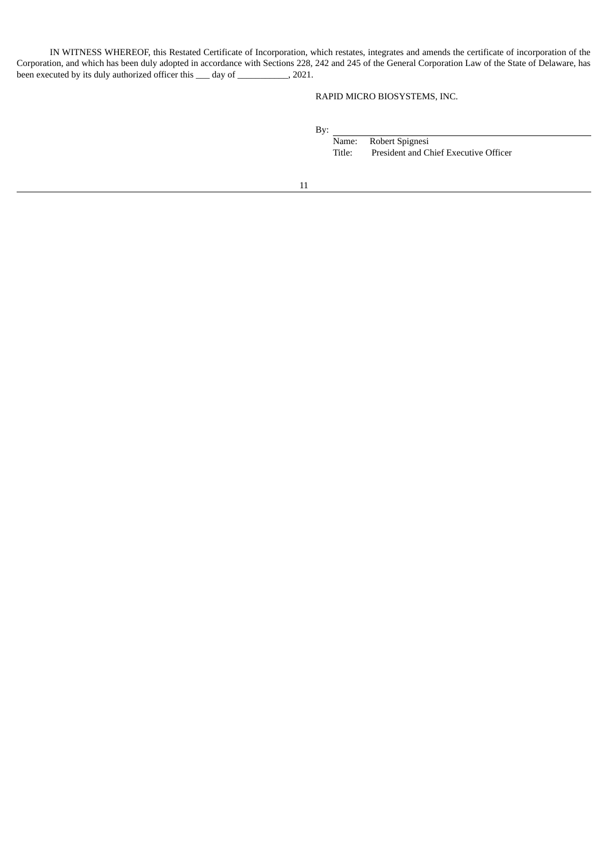IN WITNESS WHEREOF, this Restated Certificate of Incorporation, which restates, integrates and amends the certificate of incorporation of the Corporation, and which has been duly adopted in accordance with Sections 228, 242 and 245 of the General Corporation Law of the State of Delaware, has been executed by its duly authorized officer this \_\_\_ day of \_\_\_\_\_\_\_\_\_\_\_, 2021.

# RAPID MICRO BIOSYSTEMS, INC.

By:

Name: Robert Spignesi Title: President and Chief Executive Officer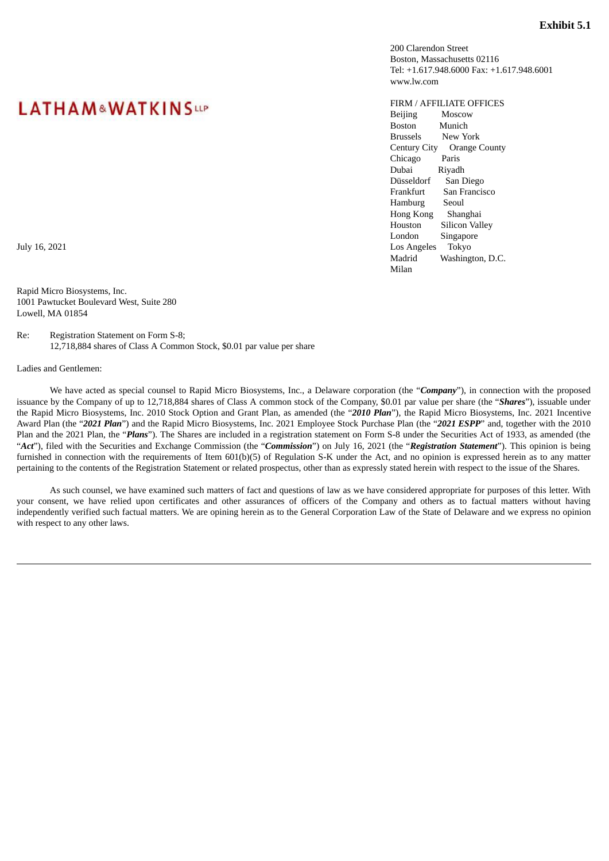200 Clarendon Street Boston, Massachusetts 02116 Tel: +1.617.948.6000 Fax: +1.617.948.6001 www.lw.com

<span id="page-19-0"></span>FIRM / AFFILIATE OFFICES Beijing Moscow Boston Munich Brussels New York Century City Orange County Chicago Paris Dubai Riyadh Düsseldorf San Diego Frankfurt San Francisco Hamburg Seoul Hong Kong Shanghai Houston Silicon Valley London Singapore July 16, 2021 Los Angeles Tokyo Madrid Washington, D.C. Milan

# **LATHAM&WATKINSUP**

Rapid Micro Biosystems, Inc. 1001 Pawtucket Boulevard West, Suite 280 Lowell, MA 01854

Re: Registration Statement on Form S-8; 12,718,884 shares of Class A Common Stock, \$0.01 par value per share

Ladies and Gentlemen:

We have acted as special counsel to Rapid Micro Biosystems, Inc., a Delaware corporation (the "*Company*"), in connection with the proposed issuance by the Company of up to 12,718,884 shares of Class A common stock of the Company, \$0.01 par value per share (the "*Shares*"), issuable under the Rapid Micro Biosystems, Inc. 2010 Stock Option and Grant Plan, as amended (the "*2010 Plan*"), the Rapid Micro Biosystems, Inc. 2021 Incentive Award Plan (the "*2021 Plan*") and the Rapid Micro Biosystems, Inc. 2021 Employee Stock Purchase Plan (the "*2021 ESPP*" and, together with the 2010 Plan and the 2021 Plan, the "*Plans*"). The Shares are included in a registration statement on Form S-8 under the Securities Act of 1933, as amended (the "*Act*"), filed with the Securities and Exchange Commission (the "*Commission*") on July 16, 2021 (the "*Registration Statement*"). This opinion is being furnished in connection with the requirements of Item 601(b)(5) of Regulation S-K under the Act, and no opinion is expressed herein as to any matter pertaining to the contents of the Registration Statement or related prospectus, other than as expressly stated herein with respect to the issue of the Shares.

As such counsel, we have examined such matters of fact and questions of law as we have considered appropriate for purposes of this letter. With your consent, we have relied upon certificates and other assurances of officers of the Company and others as to factual matters without having independently verified such factual matters. We are opining herein as to the General Corporation Law of the State of Delaware and we express no opinion with respect to any other laws.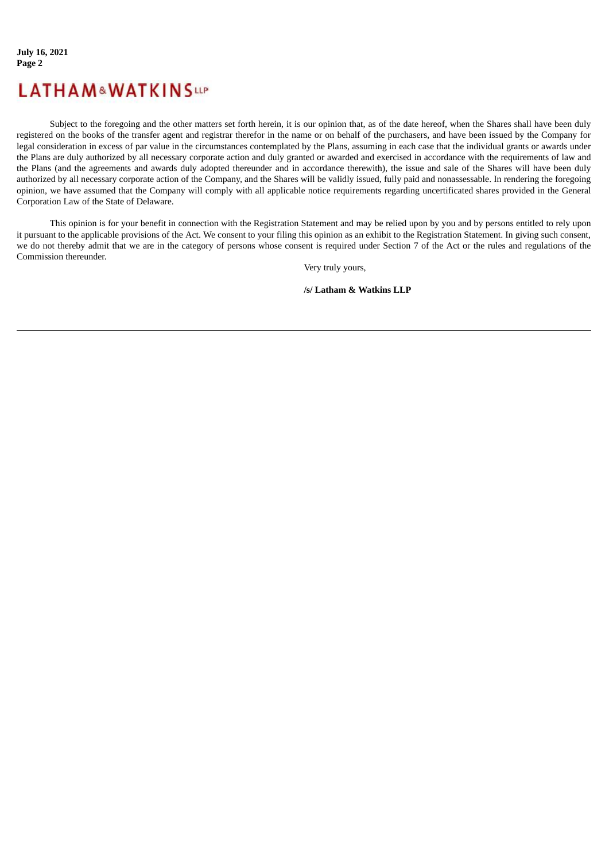# **LATHAM&WATKINSUP**

Subject to the foregoing and the other matters set forth herein, it is our opinion that, as of the date hereof, when the Shares shall have been duly registered on the books of the transfer agent and registrar therefor in the name or on behalf of the purchasers, and have been issued by the Company for legal consideration in excess of par value in the circumstances contemplated by the Plans, assuming in each case that the individual grants or awards under the Plans are duly authorized by all necessary corporate action and duly granted or awarded and exercised in accordance with the requirements of law and the Plans (and the agreements and awards duly adopted thereunder and in accordance therewith), the issue and sale of the Shares will have been duly authorized by all necessary corporate action of the Company, and the Shares will be validly issued, fully paid and nonassessable. In rendering the foregoing opinion, we have assumed that the Company will comply with all applicable notice requirements regarding uncertificated shares provided in the General Corporation Law of the State of Delaware.

This opinion is for your benefit in connection with the Registration Statement and may be relied upon by you and by persons entitled to rely upon it pursuant to the applicable provisions of the Act. We consent to your filing this opinion as an exhibit to the Registration Statement. In giving such consent, we do not thereby admit that we are in the category of persons whose consent is required under Section 7 of the Act or the rules and regulations of the Commission thereunder.

Very truly yours,

**/s/ Latham & Watkins LLP**